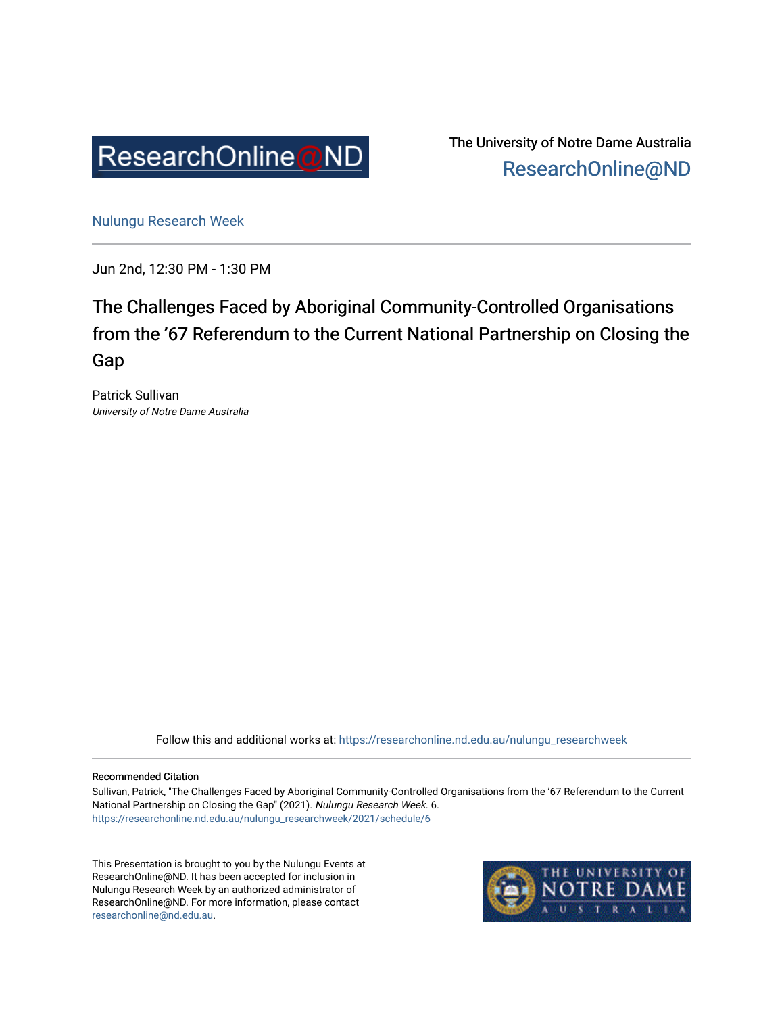

The University of Notre Dame Australia [ResearchOnline@ND](https://researchonline.nd.edu.au/) 

[Nulungu Research Week](https://researchonline.nd.edu.au/nulungu_researchweek) 

Jun 2nd, 12:30 PM - 1:30 PM

## The Challenges Faced by Aboriginal Community-Controlled Organisations from the '67 Referendum to the Current National Partnership on Closing the Gap

Patrick Sullivan University of Notre Dame Australia

Follow this and additional works at: [https://researchonline.nd.edu.au/nulungu\\_researchweek](https://researchonline.nd.edu.au/nulungu_researchweek?utm_source=researchonline.nd.edu.au%2Fnulungu_researchweek%2F2021%2Fschedule%2F6&utm_medium=PDF&utm_campaign=PDFCoverPages)

#### Recommended Citation

Sullivan, Patrick, "The Challenges Faced by Aboriginal Community-Controlled Organisations from the '67 Referendum to the Current National Partnership on Closing the Gap" (2021). Nulungu Research Week. 6. [https://researchonline.nd.edu.au/nulungu\\_researchweek/2021/schedule/6](https://researchonline.nd.edu.au/nulungu_researchweek/2021/schedule/6?utm_source=researchonline.nd.edu.au%2Fnulungu_researchweek%2F2021%2Fschedule%2F6&utm_medium=PDF&utm_campaign=PDFCoverPages) 

This Presentation is brought to you by the Nulungu Events at ResearchOnline@ND. It has been accepted for inclusion in Nulungu Research Week by an authorized administrator of ResearchOnline@ND. For more information, please contact [researchonline@nd.edu.au.](mailto:researchonline@nd.edu.au)

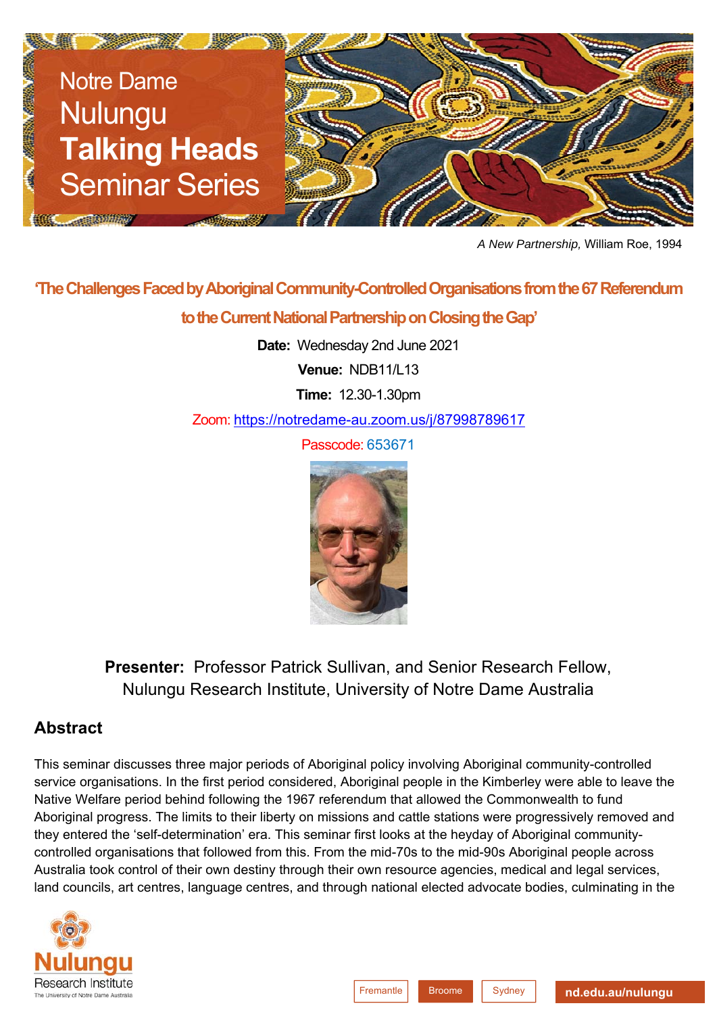

*A New Partnership,* William Roe, 1994

# **'The Challenges Faced by Aboriginal Community-Controlled Organisations from the 67 Referendum to the Current National Partnership on Closing the Gap'**

**Date:** Wednesday 2nd June 2021

**Venue:** NDB11/L13

**Time:** 12.30-1.30pm

Zoom: https://notredame-au.zoom.us/j/87998789617

Passcode: 653671



**Presenter:** Professor Patrick Sullivan, and Senior Research Fellow, Nulungu Research Institute, University of Notre Dame Australia

### **Abstract**

This seminar discusses three major periods of Aboriginal policy involving Aboriginal community-controlled service organisations. In the first period considered, Aboriginal people in the Kimberley were able to leave the Native Welfare period behind following the 1967 referendum that allowed the Commonwealth to fund Aboriginal progress. The limits to their liberty on missions and cattle stations were progressively removed and they entered the 'self-determination' era. This seminar first looks at the heyday of Aboriginal communitycontrolled organisations that followed from this. From the mid-70s to the mid-90s Aboriginal people across Australia took control of their own destiny through their own resource agencies, medical and legal services, land councils, art centres, language centres, and through national elected advocate bodies, culminating in the